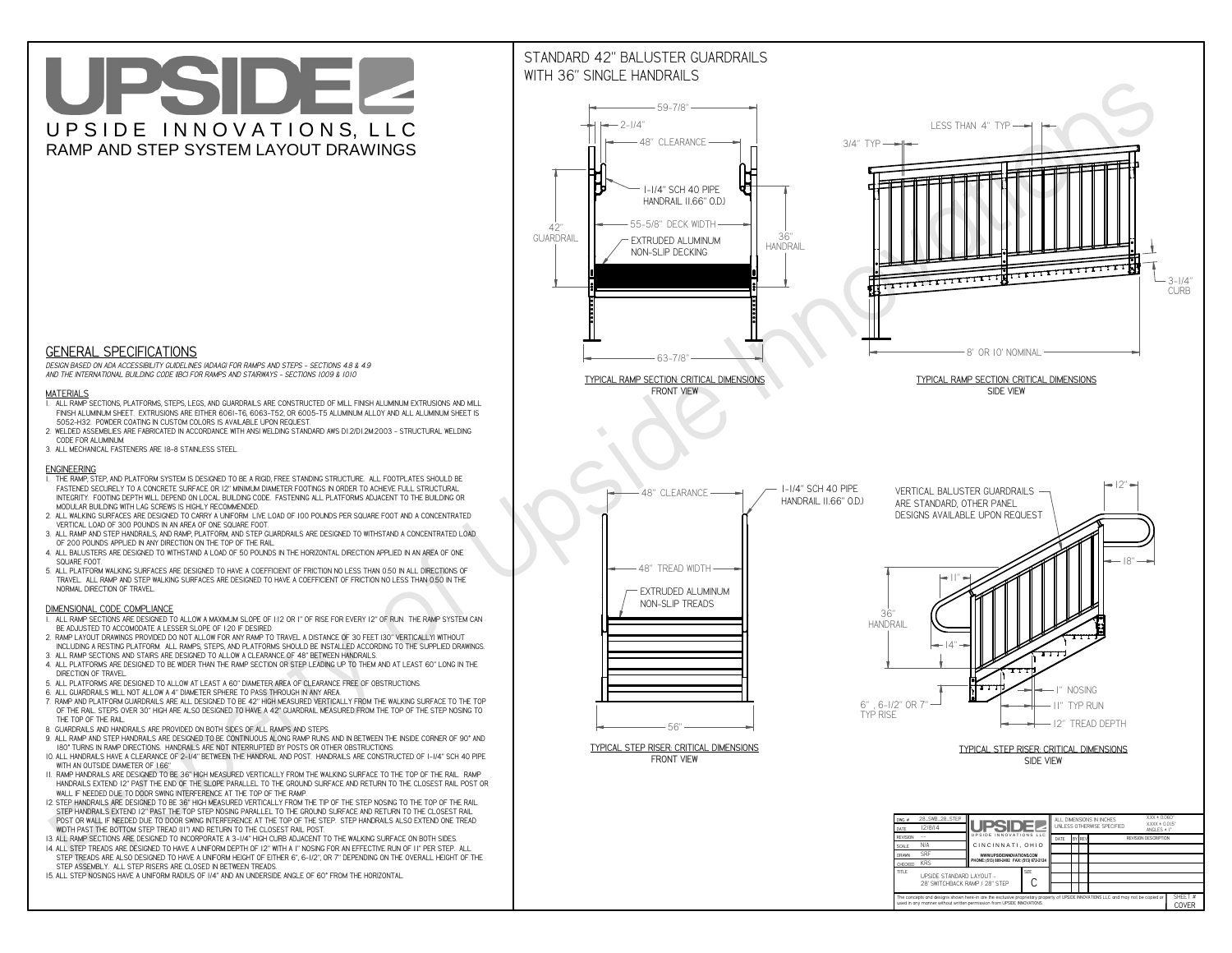# UPSIDEL UPSIDE INNOVATIONS, LLC RAMP AND STEP SYSTEM LAYOUT DRAWINGS



 *DESIGN BASED ON ADA ACCESSIBILITY GUIDELINES (ADAAG) FOR RAMPS AND STEPS - SECTIONS 4.8 & 4.9AND THE INTERNATIONAL BUILDING CODE (IBC) FOR RAMPS AND STAIRWAYS - SECTIONS 1009 & 1010*

#### **MATERIALS**

- **1. ALL RAMP SECTIONS, PLATFORMS, STEPS, LEGS, AND GUARDRAILS ARE CONSTRUCTED OF MILL FINISH ALUMINUM EXTRUSIONS AND MILL FINISH ALUMINUM SHEET. EXTRUSIONS ARE EITHER 6061-T6, 6063-T52, OR 6005-T5 ALUMINUM ALLOY AND ALL ALUMINUM SHEET IS 5052-H32. POWDER COATING IN CUSTOM COLORS IS AVAILABLE UPON REQUEST.**
- **2. WELDED ASSEMBLIES ARE FABRICATED IN ACCORDANCE WITH ANSI WELDING STANDARD AWS D1.2/D1.2M:2003 STRUCTURAL WELDING CODE FOR ALUMINUM.**
- **3. ALL MECHANICAL FASTENERS ARE 18-8 STAINLESS STEEL.**

#### **ENGINEERING**

- **1. THE RAMP, STEP, AND PLATFORM SYSTEM IS DESIGNED TO BE A RIGID, FREE STANDING STRUCTURE. ALL FOOTPLATES SHOULD BE FASTENED SECURELY TO A CONCRETE SURFACE OR 12" MINIMUM DIAMETER FOOTINGS IN ORDER TO ACHIEVE FULL STRUCTURAL INTEGRITY. FOOTING DEPTH WILL DEPEND ON LOCAL BUILDING CODE. FASTENING ALL PLATFORMS ADJACENT TO THE BUILDING OR MODULAR BUILDING WITH LAG SCREWS IS HIGHLY RECOMMENDED.**
- **2. ALL WALKING SURFACES ARE DESIGNED TO CARRY A UNIFORM LIVE LOAD OF 100 POUNDS PER SQUARE FOOT AND A CONCENTRATED VERTICAL LOAD OF 300 POUNDS IN AN AREA OF ONE SQUARE FOOT.**
- **3. ALL RAMP AND STEP HANDRAILS, AND RAMP, PLATFORM, AND STEP GUARDRAILS ARE DESIGNED TO WITHSTAND A CONCENTRATED LOAD OF 200 POUNDS APPLIED IN ANY DIRECTION ON THE TOP OF THE RAIL.**
- **4. ALL BALUSTERS ARE DESIGNED TO WITHSTAND A LOAD OF 50 POUNDS IN THE HORIZONTAL DIRECTION APPLIED IN AN AREA OF ONE SQUARE FOOT.**
- **5. ALL PLATFORM WALKING SURFACES ARE DESIGNED TO HAVE A COEFFICIENT OF FRICTION NO LESS THAN 0.50 IN ALL DIRECTIONS OF TRAVEL. ALL RAMP AND STEP WALKING SURFACES ARE DESIGNED TO HAVE A COEFFICIENT OF FRICTION NO LESS THAN 0.50 IN THE NORMAL DIRECTION OF TRAVEL.**

### **DIMENSIONAL CODE COMPLIANCE**



- **1. ALL RAMP SECTIONS ARE DESIGNED TO ALLOW A MAXIMUM SLOPE OF 1:12 OR 1" OF RISE FOR EVERY 12" OF RUN. THE RAMP SYSTEM CAN BE ADJUSTED TO ACCOMODATE A LESSER SLOPE OF 1:20 IF DESIRED.**
- **2. RAMP LAYOUT DRAWINGS PROVIDED DO NOT ALLOW FOR ANY RAMP TO TRAVEL A DISTANCE OF 30 FEET (30" VERTICALLY) WITHOUT INCLUDING A RESTING PLATFORM. ALL RAMPS, STEPS, AND PLATFORMS SHOULD BE INSTALLED ACCORDING TO THE SUPPLIED DRAWINGS.**
- **3. ALL RAMP SECTIONS AND STAIRS ARE DESIGNED TO ALLOW A CLEARANCE OF 48" BETWEEN HANDRAILS.**
- **4. ALL PLATFORMS ARE DESIGNED TO BE WIDER THAN THE RAMP SECTION OR STEP LEADING UP TO THEM AND AT LEAST 60" LONG IN THE DIRECTION OF TRAVEL.**
- **5. ALL PLATFORMS ARE DESIGNED TO ALLOW AT LEAST A 60" DIAMETER AREA OF CLEARANCE FREE OF OBSTRUCTIONS.**
- **6. ALL GUARDRAILS WILL NOT ALLOW A 4" DIAMETER SPHERE TO PASS THROUGH IN ANY AREA.**
- **7. RAMP AND PLATFORM GUARDRAILS ARE ALL DESIGNED TO BE 42" HIGH MEASURED VERTICALLY FROM THE WALKING SURFACE TO THE TOP OF THE RAIL. STEPS OVER 30" HIGH ARE ALSO DESIGNED TO HAVE A 42" GUARDRAIL MEASURED FROM THE TOP OF THE STEP NOSING TO THE TOP OF THE RAIL.**
- **8. GUARDRAILS AND HANDRAILS ARE PROVIDED ON BOTH SIDES OF ALL RAMPS AND STEPS.**
- **9. ALL RAMP AND STEP HANDRAILS ARE DESIGNED TO BE CONTINUOUS ALONG RAMP RUNS AND IN BETWEEN THE INSIDE CORNER OF 90° AND 180° TURNS IN RAMP DIRECTIONS. HANDRAILS ARE NOT INTERRUPTED BY POSTS OR OTHER OBSTRUCTIONS.**
- **10. ALL HANDRAILS HAVE A CLEARANCE OF 2-1/4" BETWEEN THE HANDRAIL AND POST. HANDRAILS ARE CONSTRUCTED OF 1-1/4" SCH 40 PIPE WITH AN OUTSIDE DIAMETER OF 1.66"**
- **11. RAMP HANDRAILS ARE DESIGNED TO BE 36" HIGH MEASURED VERTICALLY FROM THE WALKING SURFACE TO THE TOP OF THE RAIL. RAMP HANDRAILS EXTEND 12" PAST THE END OF THE SLOPE PARALLEL TO THE GROUND SURFACE AND RETURN TO THE CLOSEST RAIL POST OR WALL IF NEEDED DUE TO DOOR SWING INTERFERENCE AT THE TOP OF THE RAMP.**
- **12. STEP HANDRAILS ARE DESIGNED TO BE 36" HIGH MEASURED VERTICALLY FROM THE TIP OF THE STEP NOSING TO THE TOP OF THE RAIL. STEP HANDRAILS EXTEND 12" PAST THE TOP STEP NOSING PARALLEL TO THE GROUND SURFACE AND RETURN TO THE CLOSEST RAIL POST OR WALL IF NEEDED DUE TO DOOR SWING INTERFERENCE AT THE TOP OF THE STEP. STEP HANDRAILS ALSO EXTEND ONE TREAD**
- **WIDTH PAST THE BOTTOM STEP TREAD (11") AND RETURN TO THE CLOSEST RAIL POST.**
- **13. ALL RAMP SECTIONS ARE DESIGNED TO INCORPORATE A 3-1/4" HIGH CURB ADJACENT TO THE WALKING SURFACE ON BOTH SIDES.**
- **14. ALL STEP TREADS ARE DESIGNED TO HAVE A UNIFORM DEPTH OF 12" WITH A 1" NOSING FOR AN EFFECTIVE RUN OF 11" PER STEP. ALL STEP TREADS ARE ALSO DESIGNED TO HAVE A UNIFORM HEIGHT OF EITHER 6", 6-1/2", OR 7" DEPENDING ON THE OVERALL HEIGHT OF THE STEP ASSEMBLY. ALL STEP RISERS ARE CLOSED IN BETWEEN TREADS.**
- **15. ALL STEP NOSINGS HAVE A UNIFORM RADIUS OF 1/4" AND AN UNDERSIDE ANGLE OF 60° FROM THE HORIZONTAL.**

## STANDARD 42" BALUSTER GUARDRAILSWITH 36" SINGLE HANDRAILS